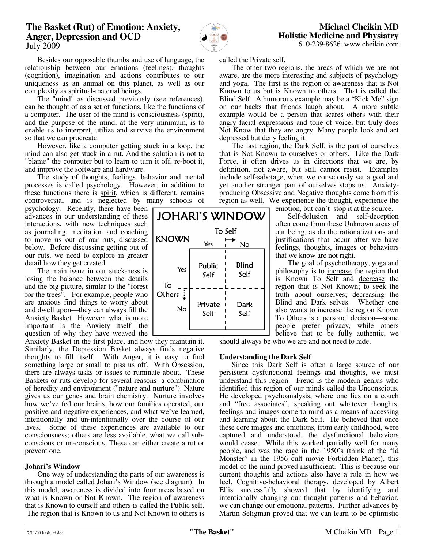# **The Basket (Rut) of Emotion: Anxiety, Anger, Depression and OCD**  July 2009



**JOHARI'S WINDOW** 

Yes

Public

Self

Private

Self

**KNOWN** 

To  $O$  thers  $\frac{1}{2}$ 

Yes

No

To Self

No

Blind

Self

Dark

Self

610-239-8626 www.cheikin.com

 Besides our opposable thumbs and use of language, the relationship between our emotions (feelings), thoughts (cognition), imagination and actions contributes to our uniqueness as an animal on this planet, as well as our complexity as spiritual-material beings.

The "mind" as discussed previously (see references), can be thought of as a set of functions, like the functions of a computer. The user of the mind is consciousness (spirit), and the purpose of the mind, at the very minimum, is to enable us to interpret, utilize and survive the environment so that we can procreate.

 However, like a computer getting stuck in a loop, the mind can also get stuck in a rut. And the solution is not to "blame" the computer but to learn to turn it off, re-boot it, and improve the software and hardware.

 The study of thoughts, feelings, behavior and mental processes is called psychology. However, in addition to these functions there is spirit, which is different, remains controversial and is neglected by many schools of

psychology. Recently, there have been advances in our understanding of these interactions, with new techniques such as journaling, meditation and coaching to move us out of our ruts, discussed below. Before discussing getting out of our ruts, we need to explore in greater detail how they get created.

 The main issue in our stuck-ness is losing the balance between the details and the big picture, similar to the "forest for the trees". For example, people who are anxious find things to worry about and dwell upon—they can always fill the Anxiety Basket. However, what is more important is the Anxiety itself—the question of why they have weaved the

Anxiety Basket in the first place, and how they maintain it. Similarly, the Depression Basket always finds negative thoughts to fill itself. With Anger, it is easy to find something large or small to piss us off. With Obsession, there are always tasks or issues to ruminate about. These Baskets or ruts develop for several reasons--a combination of heredity and environment ("nature and nurture"). Nature gives us our genes and brain chemistry. Nurture involves how we've fed our brains, how our families operated, our positive and negative experiences, and what we've learned, intentionally and un-intentionally over the course of our lives. Some of these experiences are available to our consciousness; others are less available, what we call subconscious or un-conscious. These can either create a rut or prevent one.

## **Johari's Window**

 One way of understanding the parts of our awareness is through a model called Johari's Window (see diagram). In this model, awareness is divided into four areas based on what is Known or Not Known. The region of awareness that is Known to ourself and others is called the Public self. The region that is Known to us and Not Known to others is

called the Private self.

 The other two regions, the areas of which we are not aware, are the more interesting and subjects of psychology and yoga. The first is the region of awareness that is Not Known to us but is Known to others. That is called the Blind Self. A humorous example may be a "Kick Me" sign on our backs that friends laugh about. A more subtle example would be a person that scares others with their angry facial expressions and tone of voice, but truly does Not Know that they are angry. Many people look and act depressed but deny feeling it.

 The last region, the Dark Self, is the part of ourselves that is Not Known to ourselves or others. Like the Dark Force, it often drives us in directions that we are, by definition, not aware, but still cannot resist. Examples include self-sabotage, when we consciously set a goal and yet another stronger part of ourselves stops us. Anxietyproducing Obsessive and Negative thoughts come from this region as well. We experience the thought, experience the

emotion, but can't stop it at the source.

 Self-delusion and self-deception often come from these Unknown areas of our being, as do the rationalizations and justifications that occur after we have feelings, thoughts, images or behaviors that we know are not right.

 The goal of psychotherapy, yoga and philosophy is to increase the region that is Known To Self and decrease the region that is Not Known; to seek the truth about ourselves; decreasing the Blind and Dark selves. Whether one also wants to increase the region Known To Others is a personal decision—some people prefer privacy, while others believe that to be fully authentic, we

should always be who we are and not need to hide.

## **Understanding the Dark Self**

 Since this Dark Self is often a large source of our persistent dysfunctional feelings and thoughts, we must understand this region. Freud is the modern genius who identified this region of our minds called the Unconscious. He developed psychoanalysis, where one lies on a couch and "free associates", speaking out whatever thoughts, feelings and images come to mind as a means of accessing and learning about the Dark Self. He believed that once these core images and emotions, from early childhood, were captured and understood, the dysfunctional behaviors would cease. While this worked partially well for many people, and was the rage in the 1950's (think of the "Id Monster" in the 1956 cult movie Forbidden Planet), this model of the mind proved insufficient. This is because our current thoughts and actions also have a role in how we feel. Cognitive-behavioral therapy, developed by Albert Ellis successfully showed that by identifying and intentionally changing our thought patterns and behavior, we can change our emotional patterns. Further advances by Martin Seligman proved that we can learn to be optimistic